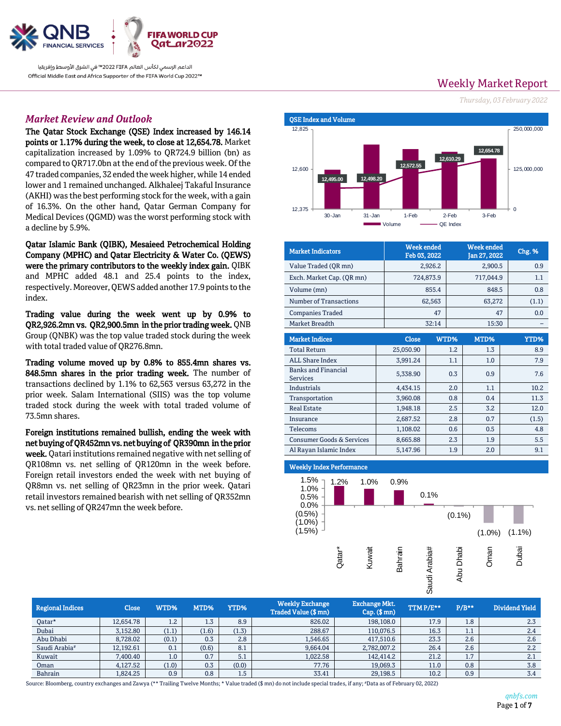

الداعم الرسمي لكأس العالم 2022 FIFA™ في الشرق الأوسط وإفريقيا Official Middle East and Africa Supporter of the FIFA World Cup 2022™

# *Market Review and Outlook*

The Qatar Stock Exchange (QSE) Index increased by 146.14 points or 1.17% during the week, to close at 12,654.78. Market capitalization increased by 1.09% to QR724.9 billion (bn) as compared to QR717.0bn at the end of the previous week. Of the 47 traded companies, 32 ended the week higher, while 14 ended lower and 1 remained unchanged. Alkhaleej Takaful Insurance (AKHI) was the best performing stock for the week, with a gain of 16.3%. On the other hand, Qatar German Company for Medical Devices (QGMD) was the worst performing stock with a decline by 5.9%.

Qatar Islamic Bank (QIBK), Mesaieed Petrochemical Holding Company (MPHC) and Qatar Electricity & Water Co. (QEWS) were the primary contributors to the weekly index gain. QIBK and MPHC added 48.1 and 25.4 points to the index, respectively. Moreover, QEWS added another 17.9 points to the index.

Trading value during the week went up by 0.9% to QR2,926.2mn vs. QR2,900.5mn in the prior trading week. QNB Group (QNBK) was the top value traded stock during the week with total traded value of QR276.8mn.

Trading volume moved up by 0.8% to 855.4mn shares vs. 848.5mn shares in the prior trading week. The number of transactions declined by 1.1% to 62,563 versus 63,272 in the prior week. Salam International (SIIS) was the top volume traded stock during the week with total traded volume of 73.5mn shares.

Foreign institutions remained bullish, ending the week with net buying of QR452mn vs. net buying of QR390mn in the prior week. Qatari institutions remained negative with net selling of QR108mn vs. net selling of QR120mn in the week before. Foreign retail investors ended the week with net buying of QR8mn vs. net selling of QR23mn in the prior week. Qatari retail investors remained bearish with net selling of QR352mn vs. net selling of QR247mn the week before.

**Weekly Market Report** 

*Thursday, 03 February 2022*



| <b>Market Indicators</b>                      | <b>Week ended</b><br>Feb 03, 2022 |           |            | <b>Week ended</b><br>Jan 27, 2022 |    | <b>Chg. %</b> |  |
|-----------------------------------------------|-----------------------------------|-----------|------------|-----------------------------------|----|---------------|--|
| Value Traded (QR mn)                          |                                   | 2,926.2   | 2,900.5    |                                   |    | 0.9           |  |
| Exch. Market Cap. (QR mn)                     |                                   | 724,873.9 | 717,044.9  |                                   |    | 1.1           |  |
| Volume (mn)                                   |                                   | 855.4     | 848.5      |                                   |    | 0.8           |  |
| Number of Transactions                        |                                   | 62,563    | 63,272     |                                   |    | (1.1)         |  |
| <b>Companies Traded</b>                       |                                   | 47        |            |                                   | 47 |               |  |
| Market Breadth                                |                                   | 32:14     |            | 15:30                             |    |               |  |
| <b>Market Indices</b>                         | <b>Close</b>                      |           | WTD%       | MTD%                              |    | <b>YTD%</b>   |  |
| <b>Total Return</b>                           | 25,050.90                         |           | 1.2        | 1.3                               |    | 8.9           |  |
| <b>ALL Share Index</b>                        | 3,991.24                          |           | 1.1        | 1.0                               |    | 7.9           |  |
| <b>Banks and Financial</b><br><b>Services</b> | 5,338.90                          |           | 0.3<br>0.9 |                                   |    | 7.6           |  |
| Industrials                                   | 4,434.15                          |           | 2.0        | 1.1                               |    | 10.2          |  |
| Transportation                                | 3,960.08                          |           | 0.8        | 0.4                               |    | 11.3          |  |
| <b>Real Estate</b>                            | 1,948.18                          |           | 2.5        | 3.2                               |    | 12.0          |  |
| Insurance                                     | 2,687.52                          |           | 2.8        | 0.7                               |    | (1.5)         |  |
| Telecoms                                      | 1,108.02                          |           | 0.6        | 0.5                               |    | 4.8           |  |
| <b>Consumer Goods &amp; Services</b>          | 8,665.88                          |           | 2.3        | 1.9                               |    | 5.5           |  |
| Al Rayan Islamic Index                        | 5,147.96                          |           | 1.9        | 2.0                               |    | 9.1           |  |

#### j Weekly Index Performance



| <b>Regional Indices</b>   | <b>Close</b> | WTD%             | MTD%  | YTD%  | <b>Weekly Exchange</b><br>Traded Value (\$ mn) | Exchange Mkt.<br>$Cap.$ ( $$mn)$ | TTMP/E** | $P/B**$ | Dividend Yield |
|---------------------------|--------------|------------------|-------|-------|------------------------------------------------|----------------------------------|----------|---------|----------------|
| Qatar*                    | 12.654.78    | $1.2\phantom{0}$ | 1.3   | 8.9   | 826.02                                         | 198,108.0                        | 17.9     | 1.8     | 2.3            |
| Dubai                     | 3,152.80     | (1.1)            | (1.6) | (1.3) | 288.67                                         | 110,076.5                        | 16.3     | 1.1     | 2.4            |
| Abu Dhabi                 | 8,728,02     | (0.1)            | 0.3   | 2.8   | 1,546.65                                       | 417,510.6                        | 23.3     | 2.6     | 2.6            |
| Saudi Arabia <sup>#</sup> | 12,192.61    | 0.1              | (0.6) | 8.1   | 9,664.04                                       | 2,782,007.2                      | 26.4     | 2.6     | 2.2            |
| Kuwait                    | 7.400.40     | 1.0              | 0.7   | 5.1   | 1.022.58                                       | 142.414.2                        | 21.2     | 1.7     | 2.1            |
| Oman                      | 4.127.52     | (1.0)            | 0.3   | (0.0) | 77.76                                          | 19.069.3                         | 11.0     | 0.8     | 3.8            |
| Bahrain                   | 1.824.25     | 0.9              | 0.8   | 1.5   | 33.41                                          | 29,198.5                         | 10.2     | 0.9     | 3.4            |

Source: Bloomberg, country exchanges and Zawya (\*\* Trailing Twelve Months; \* Value traded (\$ mn) do not include special trades, if any; #Data as of February 02, 2022)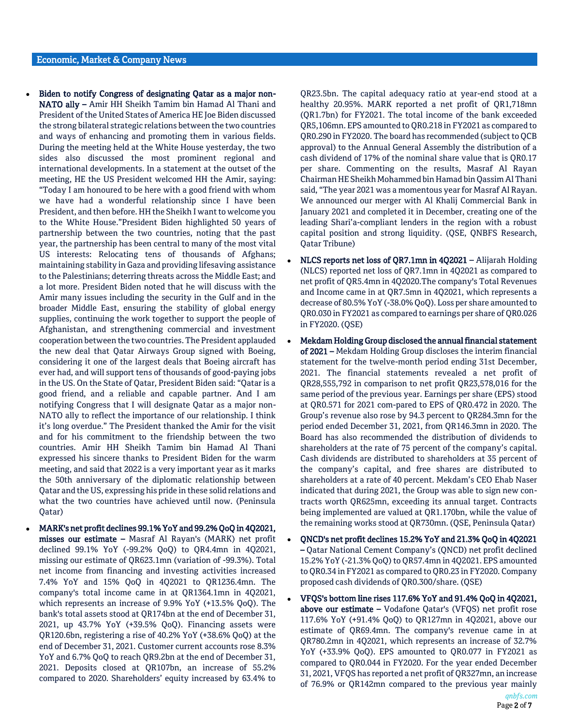- Biden to notify Congress of designating Qatar as a major non-NATO ally – Amir HH Sheikh Tamim bin Hamad Al Thani and President of the United States of America HE Joe Biden discussed the strong bilateral strategic relations between the two countries and ways of enhancing and promoting them in various fields. During the meeting held at the White House yesterday, the two sides also discussed the most prominent regional and international developments. In a statement at the outset of the meeting, HE the US President welcomed HH the Amir, saying: "Today I am honoured to be here with a good friend with whom we have had a wonderful relationship since I have been President, and then before. HH the Sheikh I want to welcome you to the White House."President Biden highlighted 50 years of partnership between the two countries, noting that the past year, the partnership has been central to many of the most vital US interests: Relocating tens of thousands of Afghans; maintaining stability in Gaza and providing lifesaving assistance to the Palestinians; deterring threats across the Middle East; and a lot more. President Biden noted that he will discuss with the Amir many issues including the security in the Gulf and in the broader Middle East, ensuring the stability of global energy supplies, continuing the work together to support the people of Afghanistan, and strengthening commercial and investment cooperation between the two countries. The President applauded the new deal that Qatar Airways Group signed with Boeing, considering it one of the largest deals that Boeing aircraft has ever had, and will support tens of thousands of good-paying jobs in the US. On the State of Qatar, President Biden said: "Qatar is a good friend, and a reliable and capable partner. And I am notifying Congress that I will designate Qatar as a major non-NATO ally to reflect the importance of our relationship. I think it's long overdue." The President thanked the Amir for the visit and for his commitment to the friendship between the two countries. Amir HH Sheikh Tamim bin Hamad Al Thani expressed his sincere thanks to President Biden for the warm meeting, and said that 2022 is a very important year as it marks the 50th anniversary of the diplomatic relationship between Qatar and the US, expressing his pride in these solid relations and what the two countries have achieved until now. (Peninsula Qatar)
- MARK's net profit declines 99.1% YoY and 99.2% QoQ in 4Q2021, misses our estimate – Masraf Al Rayan's (MARK) net profit declined 99.1% YoY (-99.2% QoQ) to QR4.4mn in 4Q2021, missing our estimate of QR623.1mn (variation of -99.3%). Total net income from financing and investing activities increased 7.4% YoY and 15% QoQ in 4Q2021 to QR1236.4mn. The company's total income came in at QR1364.1mn in 4Q2021, which represents an increase of 9.9% YoY (+13.5% QoQ). The bank's total assets stood at QR174bn at the end of December 31, 2021, up 43.7% YoY (+39.5% QoQ). Financing assets were QR120.6bn, registering a rise of 40.2% YoY (+38.6% QoQ) at the end of December 31, 2021. Customer current accounts rose 8.3% YoY and 6.7% QoQ to reach QR9.2bn at the end of December 31, 2021. Deposits closed at QR107bn, an increase of 55.2% compared to 2020. Shareholders' equity increased by 63.4% to

QR23.5bn. The capital adequacy ratio at year-end stood at a healthy 20.95%. MARK reported a net profit of QR1,718mn (QR1.7bn) for FY2021. The total income of the bank exceeded QR5,106mn. EPS amounted to QR0.218 in FY2021 as compared to QR0.290 in FY2020. The board has recommended (subject to QCB approval) to the Annual General Assembly the distribution of a cash dividend of 17% of the nominal share value that is QR0.17 per share. Commenting on the results, Masraf Al Rayan Chairman HE Sheikh Mohammed bin Hamad bin Qassim Al Thani said, "The year 2021 was a momentous year for Masraf Al Rayan. We announced our merger with Al Khalij Commercial Bank in January 2021 and completed it in December, creating one of the leading Shari'a-compliant lenders in the region with a robust capital position and strong liquidity. (QSE, QNBFS Research, Qatar Tribune)

- NLCS reports net loss of QR7.1mn in 4Q2021 Alijarah Holding (NLCS) reported net loss of QR7.1mn in 4Q2021 as compared to net profit of QR5.4mn in 4Q2020.The company's Total Revenues and Income came in at QR7.5mn in 4Q2021, which represents a decrease of 80.5% YoY (-38.0% QoQ). Loss per share amounted to QR0.030 in FY2021 as compared to earnings per share of QR0.026 in FY2020. (QSE)
- Mekdam Holding Group disclosed the annual financial statement of 2021 – Mekdam Holding Group discloses the interim financial statement for the twelve-month period ending 31st December, 2021. The financial statements revealed a net profit of QR28,555,792 in comparison to net profit QR23,578,016 for the same period of the previous year. Earnings per share (EPS) stood at QR0.571 for 2021 com-pared to EPS of QR0.472 in 2020. The Group's revenue also rose by 94.3 percent to QR284.3mn for the period ended December 31, 2021, from QR146.3mn in 2020. The Board has also recommended the distribution of dividends to shareholders at the rate of 75 percent of the company's capital. Cash dividends are distributed to shareholders at 35 percent of the company's capital, and free shares are distributed to shareholders at a rate of 40 percent. Mekdam's CEO Ehab Naser indicated that during 2021, the Group was able to sign new contracts worth QR625mn, exceeding its annual target. Contracts being implemented are valued at QR1.170bn, while the value of the remaining works stood at QR730mn. (QSE, Peninsula Qatar)
- QNCD's net profit declines 15.2% YoY and 21.3% QoQ in 4Q2021 – Qatar National Cement Company's (QNCD) net profit declined 15.2% YoY (-21.3% QoQ) to QR57.4mn in 4Q2021. EPS amounted to QR0.34 in FY2021 as compared to QR0.23 in FY2020. Company proposed cash dividends of QR0.300/share. (QSE)
- VFQS's bottom line rises 117.6% YoY and 91.4% QoQ in 4Q2021, above our estimate – Vodafone Qatar's (VFQS) net profit rose 117.6% YoY (+91.4% QoQ) to QR127mn in 4Q2021, above our estimate of QR69.4mn. The company's revenue came in at QR780.2mn in 4Q2021, which represents an increase of 32.7% YoY (+33.9% QoQ). EPS amounted to QR0.077 in FY2021 as compared to QR0.044 in FY2020. For the year ended December 31, 2021, VFQS has reported a net profit of QR327mn, an increase of 76.9% or QR142mn compared to the previous year mainly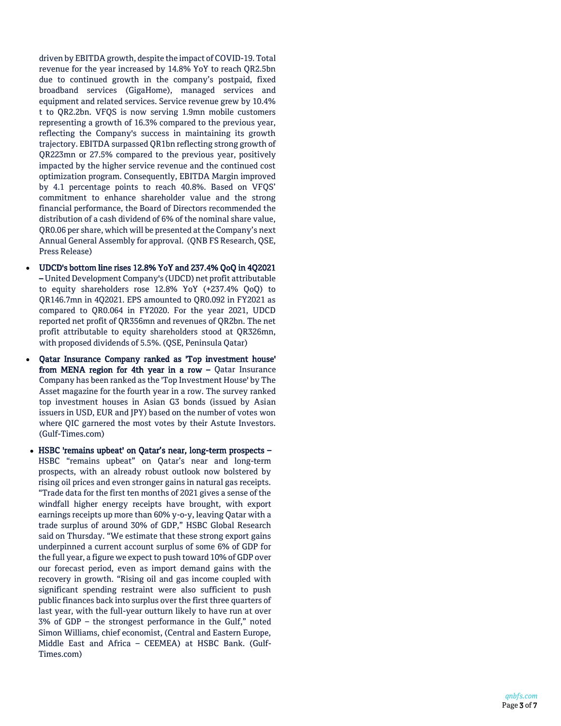driven by EBITDA growth, despite the impact of COVID -19. Total revenue for the year increased by 14.8% YoY to reach QR2.5bn due to continued growth in the company's postpaid, fixed broadband services (GigaHome), managed services and equipment and related services. Service revenue grew by 10.4% t to QR2.2bn. VFQS is now serving 1.9mn mobile customers representing a growth of 16.3% compared to the previous year, reflecting the Company's success in maintaining its growth trajectory. EBITDA surpassed QR1bn reflecting strong growth of QR223mn or 27.5% compared to the previous year, positively impacted by the higher service revenue and the continued cost optimization program. Consequently, EBITDA Margin improved by 4.1 percentage points to reach 40.8%. Based on VFQS' commitment to enhance shareholder value and the strong financial performance, the Board of Directors recommended the distribution of a cash dividend of 6% of the nominal share value, QR0.06 per share, which will be presented at the Company's next Annual General Assembly for approval. (QNB FS Research, QSE, Press Release)

- UDCD's bottom line rises 12.8% YoY and 237.4% QoQ in 4Q2021 – United Development Company's (UDCD) net profit attributable to equity shareholders rose 12.8% YoY (+237.4% QoQ) to QR146.7mn in 4Q2021. EPS amounted to QR0.092 in FY2021 as compared to QR0.064 in FY2020. For the year 2021, UDCD reported net profit of QR356mn and revenues of QR2bn. The net profit attributable to equity shareholders stood at QR326mn, with proposed dividends of 5.5%. (QSE, Peninsula Qatar)
- Qatar Insurance Company ranked as 'Top investment house' from MENA region for 4th year in a row - Qatar Insurance Company has been ranked as the 'Top Investment House' by The Asset magazine for the fourth year in a row. The survey ranked top investment houses in Asian G3 bonds (issued by Asian issuers in USD, EUR and JPY) based on the number of votes won where QIC garnered the most votes by their Astute Investors. (Gulf-Times.com)
- HSBC 'remains upbeat' on Qatar's near, long-term prospects -HSBC "remains upbeat" on Qatar's near and long -term prospects, with an already robust outlook now bolstered by rising oil prices and even stronger gains in natural gas receipts. "Trade data for the first ten months of 2021 gives a sense of the windfall higher energy receipts have brought, with export earnings receipts up more than 60% y - o -y, leaving Qatar with a trade surplus of around 30% of GDP," HSBC Global Research said on Thursday. "We estimate that these strong export gains underpinned a current account surplus of some 6% of GDP for the full year, a figure we expect to push toward 10% of GDP over our forecast period, even as import demand gains with the recovery in growth. "Rising oil and gas income coupled with significant spending restraint were also sufficient to push public finances back into surplus over the first three quarters of last year, with the full -year outturn likely to have run at over 3% of GDP – the strongest performance in the Gulf," noted Simon Williams, chief economist, (Central and Eastern Europe, Middle East and Africa – CEEMEA) at HSBC Bank. (Gulf - Times.com)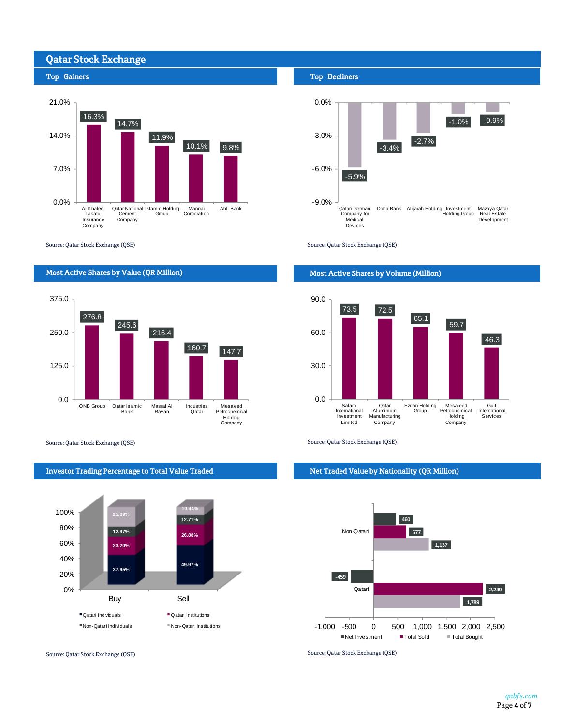# Qatar Stock Exchange





Source: Qatar Stock Exchange (QSE)

## Most Active Shares by Value (QR Million)



Source: Qatar Stock Exchange (QSE) Source: Qatar Stock Exchange (QSE)



Source: Qatar Stock Exchange (QSE) Source: Qatar Stock Exchange (QSE)

### Top Decliners



Source: Qatar Stock Exchange (QSE)

### Most Active Shares by Volume (Million)



#### Net Traded Value by Nationality (QR Million)

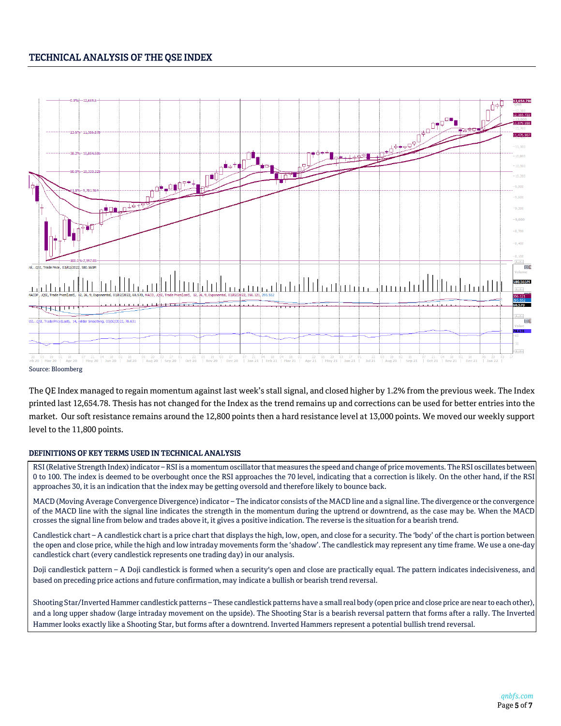# TECHNICAL ANALYSIS OF THE QSE INDEX



The QE Index managed to regain momentum against last week's stall signal, and closed higher by 1.2% from the previous week. The Index printed last 12,654.78. Thesis has not changed for the Index as the trend remains up and corrections can be used for better entries into the market. Our soft resistance remains around the 12,800 points then a hard resistance level at 13,000 points. We moved our weekly support level to the 11,800 points.

#### DEFINITIONS OF KEY TERMS USED IN TECHNICAL ANALYSIS

RSI (Relative Strength Index) indicator – RSI is a momentum oscillator that measures the speed and change of price movements. The RSI oscillates between 0 to 100. The index is deemed to be overbought once the RSI approaches the 70 level, indicating that a correction is likely. On the other hand, if the RSI approaches 30, it is an indication that the index may be getting oversold and therefore likely to bounce back.

MACD (Moving Average Convergence Divergence) indicator – The indicator consists of the MACD line and a signal line. The divergence or the convergence of the MACD line with the signal line indicates the strength in the momentum during the uptrend or downtrend, as the case may be. When the MACD crosses the signal line from below and trades above it, it gives a positive indication. The reverse is the situation for a bearish trend.

Candlestick chart – A candlestick chart is a price chart that displays the high, low, open, and close for a security. The 'body' of the chart is portion between the open and close price, while the high and low intraday movements form the 'shadow'. The candlestick may represent any time frame. We use a one-day candlestick chart (every candlestick represents one trading day) in our analysis.

Doji candlestick pattern – A Doji candlestick is formed when a security's open and close are practically equal. The pattern indicates indecisiveness, and based on preceding price actions and future confirmation, may indicate a bullish or bearish trend reversal.

Shooting Star/Inverted Hammer candlestick patterns – These candlestick patterns have a small real body (open price and close price are near to each other), and a long upper shadow (large intraday movement on the upside). The Shooting Star is a bearish reversal pattern that forms after a rally. The Inverted Hammer looks exactly like a Shooting Star, but forms after a downtrend. Inverted Hammers represent a potential bullish trend reversal.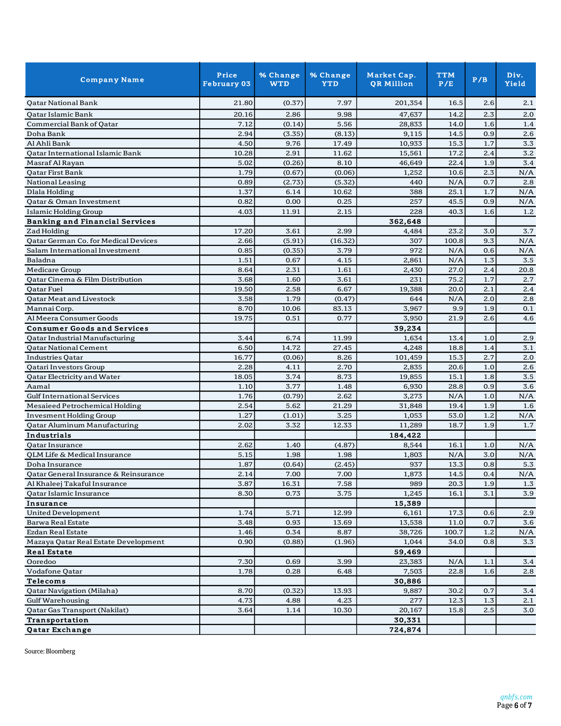| <b>Company Name</b>                   | Price<br><b>February 03</b> | % Change<br><b>WTD</b> | % Change<br><b>YTD</b> | Market Cap.<br><b>QR Million</b> | <b>TTM</b><br>P/E | P/B | Div.<br>Yield |
|---------------------------------------|-----------------------------|------------------------|------------------------|----------------------------------|-------------------|-----|---------------|
| <b>Qatar National Bank</b>            | 21.80                       | (0.37)                 | 7.97                   | 201,354                          | 16.5              | 2.6 | 2.1           |
| Qatar Islamic Bank                    | 20.16                       | 2.86                   | 9.98                   | 47,637                           | 14.2              | 2.3 | 2.0           |
| Commercial Bank of Qatar              | 7.12                        | (0.14)                 | 5.56                   | 28,833                           | 14.0              | 1.6 | 1.4           |
| Doha Bank                             | 2.94                        | (3.35)                 | (8.13)                 | 9,115                            | 14.5              | 0.9 | 2.6           |
| Al Ahli Bank                          | 4.50                        | 9.76                   | 17.49                  | 10,933                           | 15.3              | 1.7 | $3.3\,$       |
| Qatar International Islamic Bank      | 10.28                       | 2.91                   | 11.62                  | 15,561                           | 17.2              | 2.4 | 3.2           |
| Masraf Al Rayan                       | 5.02                        | (0.26)                 | 8.10                   | 46,649                           | 22.4              | 1.9 | 3.4           |
| <b>Qatar First Bank</b>               | 1.79                        | (0.67)                 | (0.06)                 | 1,252                            | 10.6              | 2.3 | N/A           |
| National Leasing                      | 0.89                        | (2.73)                 | (5.32)                 | 440                              | N/A               | 0.7 | 2.8           |
| Dlala Holding                         | 1.37                        | 6.14                   | 10.62                  | 388                              | 25.1              | 1.7 | N/A           |
| Qatar & Oman Investment               | 0.82                        | 0.00                   | 0.25                   | 257                              | 45.5              | 0.9 | N/A           |
| Islamic Holding Group                 | 4.03                        | 11.91                  | 2.15                   | 228                              | 40.3              | 1.6 | 1.2           |
| <b>Banking and Financial Services</b> |                             |                        |                        | 362,648                          |                   |     |               |
| Zad Holding                           | 17.20                       | 3.61                   | 2.99                   | 4,484                            | 23.2              | 3.0 | 3.7           |
| Qatar German Co. for Medical Devices  | 2.66                        | (5.91)                 | (16.32)                | 307                              | 100.8             | 9.3 | N/A           |
| Salam International Investment        | 0.85                        | (0.35)                 | 3.79                   | 972                              | N/A               | 0.6 | N/A           |
| Baladna                               | 1.51                        | 0.67                   | 4.15                   | 2,861                            | N/A               | 1.3 | 3.5           |
| Medicare Group                        | 8.64                        | 2.31                   | 1.61                   | 2,430                            | 27.0              | 2.4 | 20.8          |
| Qatar Cinema & Film Distribution      | 3.68                        | 1.60                   | 3.61                   | 231                              | 75.2              | 1.7 | 2.7           |
| Qatar Fuel                            | 19.50                       | 2.58                   | 6.67                   | 19,388                           | 20.0              | 2.1 | 2.4           |
| Qatar Meat and Livestock              | 3.58                        | 1.79                   | (0.47)                 | 644                              | N/A               | 2.0 | 2.8           |
| Mannai Corp.                          | 8.70                        | 10.06                  | 83.13                  | 3,967                            | 9.9               | 1.9 | 0.1           |
| Al Meera Consumer Goods               | 19.75                       | 0.51                   | 0.77                   | 3,950                            | 21.9              | 2.6 | 4.6           |
| <b>Consumer Goods and Services</b>    |                             |                        |                        | 39,234                           |                   |     |               |
| Qatar Industrial Manufacturing        | 3.44                        | 6.74                   | 11.99                  | 1,634                            | 13.4              | 1.0 | 2.9           |
| <b>Qatar National Cement</b>          | 6.50                        | 14.72                  | 27.45                  | 4,248                            | 18.8              | 1.4 | 3.1           |
| <b>Industries Qatar</b>               | 16.77                       | (0.06)                 | 8.26                   | 101,459                          | 15.3              | 2.7 | 2.0           |
| Qatari Investors Group                | 2.28                        | 4.11                   | 2.70                   | 2,835                            | 20.6              | 1.0 | 2.6           |
| Qatar Electricity and Water           | 18.05                       | 3.74                   | 8.73                   | 19,855                           | 15.1              | 1.8 | 3.5           |
| Aamal                                 | 1.10                        | 3.77                   | 1.48                   | 6,930                            | 28.8              | 0.9 | 3.6           |
| <b>Gulf International Services</b>    | 1.76                        | (0.79)                 | 2.62                   | 3,273                            | N/A               | 1.0 | N/A           |
| Mesaieed Petrochemical Holding        | 2.54                        | 5.62                   | 21.29                  | 31,848                           | 19.4              | 1.9 | 1.6           |
| <b>Invesment Holding Group</b>        | 1.27                        | (1.01)                 | 3.25                   | 1,053                            | 53.0              | 1.2 | N/A           |
| <b>Qatar Aluminum Manufacturing</b>   | 2.02                        | 3.32                   | 12.33                  | 11,289                           | 18.7              | 1.9 | 1.7           |
| Industrials                           |                             |                        |                        | 184,422                          |                   |     |               |
| Qatar Insurance                       | 2.62                        | 1.40                   | (4.87)                 | 8,544                            | 16.1              | 1.0 | N/A           |
| QLM Life & Medical Insurance          | 5.15                        | 1.98                   | 1.98                   | 1,803                            | N/A               | 3.0 | N/A           |
| Doha Insurance                        | 1.87                        | (0.64)                 | (2.45)                 | 937                              | 13.3              | 0.8 | 5.3           |
| Qatar General Insurance & Reinsurance | 2.14                        | 7.00                   | 7.00                   | 1,873                            | 14.5              | 0.4 | $\rm N/A$     |
| Al Khaleej Takaful Insurance          | 3.87                        | 16.31                  | 7.58                   | 989                              | 20.3              | 1.9 | 1.3           |
| Qatar Islamic Insurance               | 8.30                        | 0.73                   | 3.75                   | 1,245                            | 16.1              | 3.1 | 3.9           |
| Insurance                             |                             |                        |                        | 15,389                           |                   |     |               |
| United Development                    | 1.74                        | 5.71                   | 12.99                  | 6,161                            | 17.3              | 0.6 | 2.9           |
| <b>Barwa Real Estate</b>              | 3.48                        | 0.93                   | 13.69                  | 13,538                           | 11.0              | 0.7 | 3.6           |
| Ezdan Real Estate                     | 1.46                        | 0.34                   | 8.87                   | 38,726                           | 100.7             | 1.2 | N/A           |
| Mazaya Qatar Real Estate Development  | 0.90                        | (0.88)                 | (1.96)                 | 1,044                            | 34.0              | 0.8 | 3.3           |
| <b>Real Estate</b>                    |                             |                        |                        |                                  |                   |     |               |
| Ooredoo                               | 7.30                        | 0.69                   | 3.99                   | 59,469<br>23,383                 | N/A               | 1.1 | 3.4           |
|                                       | 1.78                        | 0.28                   |                        |                                  | 22.8              | 1.6 |               |
| Vodafone Qatar                        |                             |                        | 6.48                   | 7,503                            |                   |     | 2.8           |
| <b>Telecoms</b>                       |                             |                        |                        | 30,886                           |                   |     |               |
| Qatar Navigation (Milaha)             | 8.70                        | (0.32)                 | 13.93                  | 9,887                            | 30.2              | 0.7 | 3.4           |
| <b>Gulf Warehousing</b>               | 4.73                        | 4.88                   | 4.23                   | 277                              | 12.3              | 1.3 | 2.1           |
| Qatar Gas Transport (Nakilat)         | 3.64                        | 1.14                   | 10.30                  | 20,167                           | 15.8              | 2.5 | 3.0           |
| <b>Transportation</b>                 |                             |                        |                        | 30,331                           |                   |     |               |
| <b>Qatar Exchange</b>                 |                             |                        |                        | 724,874                          |                   |     |               |